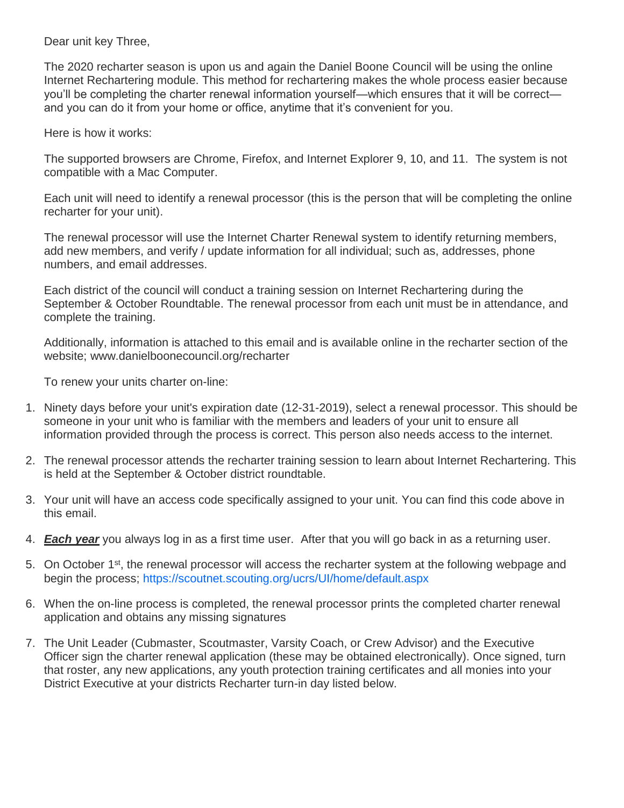Dear unit key Three,

The 2020 recharter season is upon us and again the Daniel Boone Council will be using the online Internet Rechartering module. This method for rechartering makes the whole process easier because you'll be completing the charter renewal information yourself—which ensures that it will be correct and you can do it from your home or office, anytime that it's convenient for you.

Here is how it works:

The supported browsers are Chrome, Firefox, and Internet Explorer 9, 10, and 11. The system is not compatible with a Mac Computer.

Each unit will need to identify a renewal processor (this is the person that will be completing the online recharter for your unit).

The renewal processor will use the Internet Charter Renewal system to identify returning members, add new members, and verify / update information for all individual; such as, addresses, phone numbers, and email addresses.

Each district of the council will conduct a training session on Internet Rechartering during the September & October Roundtable. The renewal processor from each unit must be in attendance, and complete the training.

Additionally, information is attached to this email and is available online in the recharter section of the website; www.danielboonecouncil.org/recharter

To renew your units charter on-line:

- 1. Ninety days before your unit's expiration date (12-31-2019), select a renewal processor. This should be someone in your unit who is familiar with the members and leaders of your unit to ensure all information provided through the process is correct. This person also needs access to the internet.
- 2. The renewal processor attends the recharter training session to learn about Internet Rechartering. This is held at the September & October district roundtable.
- 3. Your unit will have an access code specifically assigned to your unit. You can find this code above in this email.
- 4. *Each year* you always log in as a first time user. After that you will go back in as a returning user.
- 5. On October 1<sup>st</sup>, the renewal processor will access the recharter system at the following webpage and begin the process; https://scoutnet.scouting.org/ucrs/UI/home/default.aspx
- 6. When the on-line process is completed, the renewal processor prints the completed charter renewal application and obtains any missing signatures
- 7. The Unit Leader (Cubmaster, Scoutmaster, Varsity Coach, or Crew Advisor) and the Executive Officer sign the charter renewal application (these may be obtained electronically). Once signed, turn that roster, any new applications, any youth protection training certificates and all monies into your District Executive at your districts Recharter turn-in day listed below.